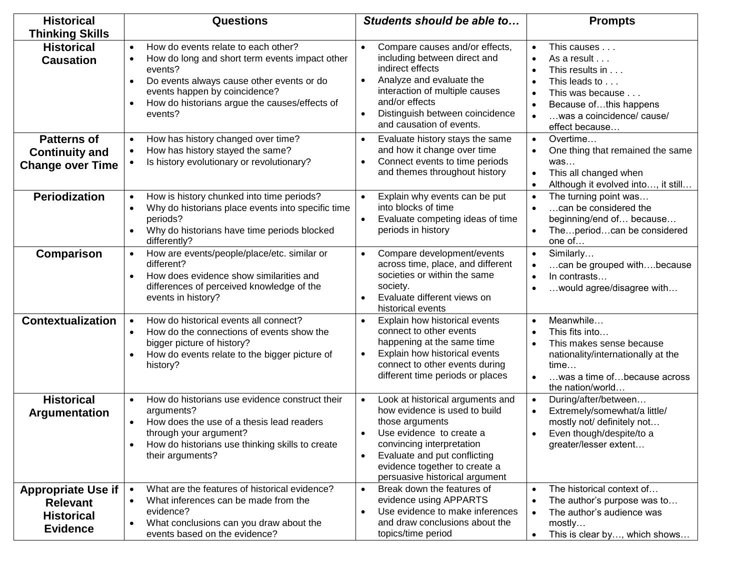| <b>Historical</b>                                                                    | <b>Questions</b>                                                                                                                                                                                                                                        | Students should be able to                                                                                                                                                                                                                                                              | <b>Prompts</b>                                                                                                                                              |
|--------------------------------------------------------------------------------------|---------------------------------------------------------------------------------------------------------------------------------------------------------------------------------------------------------------------------------------------------------|-----------------------------------------------------------------------------------------------------------------------------------------------------------------------------------------------------------------------------------------------------------------------------------------|-------------------------------------------------------------------------------------------------------------------------------------------------------------|
| <b>Thinking Skills</b>                                                               |                                                                                                                                                                                                                                                         |                                                                                                                                                                                                                                                                                         |                                                                                                                                                             |
| <b>Historical</b><br><b>Causation</b>                                                | How do events relate to each other?<br>How do long and short term events impact other<br>events?<br>Do events always cause other events or do<br>$\bullet$<br>events happen by coincidence?<br>How do historians argue the causes/effects of<br>events? | Compare causes and/or effects,<br>$\bullet$<br>including between direct and<br>indirect effects<br>Analyze and evaluate the<br>$\bullet$<br>interaction of multiple causes<br>and/or effects<br>Distinguish between coincidence<br>$\bullet$<br>and causation of events.                | This causes<br>As a result<br>This results in<br>This leads to<br>This was because<br>Because ofthis happens<br>was a coincidence/ cause/<br>effect because |
| <b>Patterns of</b><br><b>Continuity and</b><br><b>Change over Time</b>               | How has history changed over time?<br>$\bullet$<br>How has history stayed the same?<br>Is history evolutionary or revolutionary?                                                                                                                        | Evaluate history stays the same<br>$\bullet$<br>and how it change over time<br>Connect events to time periods<br>and themes throughout history                                                                                                                                          | Overtime<br>One thing that remained the same<br>was<br>This all changed when<br>Although it evolved into, it still                                          |
| <b>Periodization</b>                                                                 | How is history chunked into time periods?<br>$\bullet$<br>Why do historians place events into specific time<br>$\bullet$<br>periods?<br>Why do historians have time periods blocked<br>differently?                                                     | Explain why events can be put<br>$\bullet$<br>into blocks of time<br>Evaluate competing ideas of time<br>$\bullet$<br>periods in history                                                                                                                                                | The turning point was<br>can be considered the<br>beginning/end of because<br>Theperiodcan be considered<br>one of                                          |
| Comparison                                                                           | How are events/people/place/etc. similar or<br>$\bullet$<br>different?<br>How does evidence show similarities and<br>$\bullet$<br>differences of perceived knowledge of the<br>events in history?                                                       | Compare development/events<br>$\bullet$<br>across time, place, and different<br>societies or within the same<br>society.<br>Evaluate different views on<br>historical events                                                                                                            | Similarly<br>$\bullet$<br>can be grouped withbecause<br>In contrasts<br>would agree/disagree with                                                           |
| <b>Contextualization</b>                                                             | How do historical events all connect?<br>How do the connections of events show the<br>bigger picture of history?<br>How do events relate to the bigger picture of<br>history?                                                                           | Explain how historical events<br>connect to other events<br>happening at the same time<br>Explain how historical events<br>$\bullet$<br>connect to other events during<br>different time periods or places                                                                              | Meanwhile<br>This fits into<br>This makes sense because<br>nationality/internationally at the<br>time<br>was a time of because across<br>the nation/world   |
| <b>Historical</b><br>Argumentation                                                   | How do historians use evidence construct their<br>$\bullet$<br>arguments?<br>How does the use of a thesis lead readers<br>through your argument?<br>How do historians use thinking skills to create<br>$\bullet$<br>their arguments?                    | Look at historical arguments and<br>$\bullet$<br>how evidence is used to build<br>those arguments<br>Use evidence to create a<br>$\bullet$<br>convincing interpretation<br>Evaluate and put conflicting<br>$\bullet$<br>evidence together to create a<br>persuasive historical argument | During/after/between<br>Extremely/somewhat/a little/<br>mostly not/ definitely not<br>Even though/despite/to a<br>greater/lesser extent                     |
| <b>Appropriate Use if</b><br><b>Relevant</b><br><b>Historical</b><br><b>Evidence</b> | What are the features of historical evidence?<br>$\bullet$<br>What inferences can be made from the<br>$\bullet$<br>evidence?<br>What conclusions can you draw about the<br>$\bullet$<br>events based on the evidence?                                   | Break down the features of<br>$\bullet$<br>evidence using APPARTS<br>Use evidence to make inferences<br>$\bullet$<br>and draw conclusions about the<br>topics/time period                                                                                                               | The historical context of<br>The author's purpose was to<br>The author's audience was<br>mostly<br>This is clear by, which shows                            |